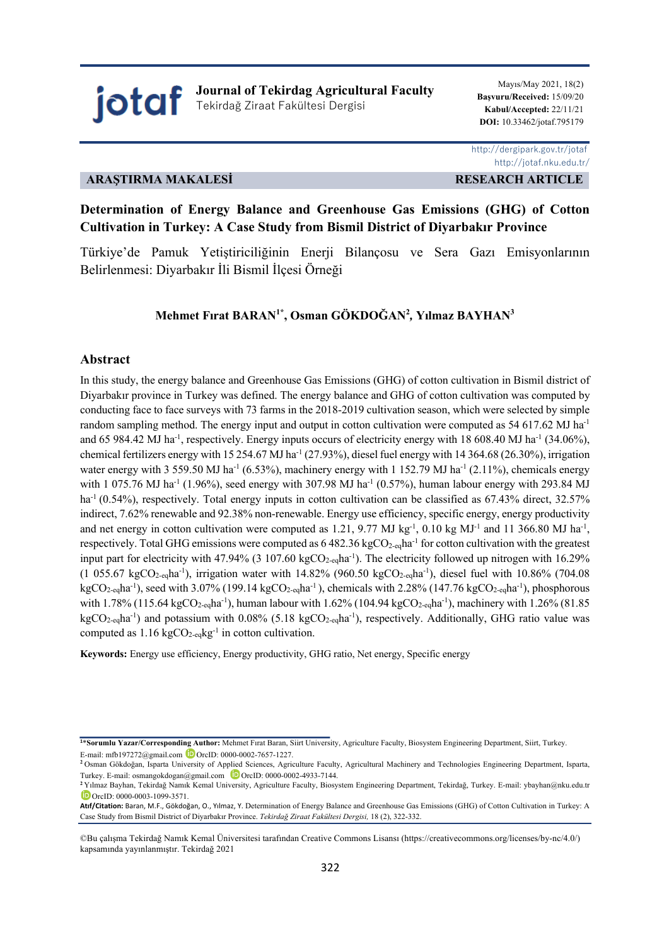jotaf **Journal of Tekirdag Agricultural Faculty** Tekirdağ Ziraat Fakültesi Dergisi

Mayıs/May 2021, 18(2) **Başvuru/Received:** 15/09/20 **Kabul/Accepted:** 22/11/21  **DOI:** 10.33462/jotaf.795179

# **ARAŞTIRMA MAKALESİ RESEARCH ARTICLE**

 http://dergipark.gov.tr/jotaf http://jotaf.nku.edu.tr/

# **Determination of Energy Balance and Greenhouse Gas Emissions (GHG) of Cotton Cultivation in Turkey: A Case Study from Bismil District of Diyarbakır Province**

Türkiye'de Pamuk Yetiştiriciliğinin Enerji Bilançosu ve Sera Gazı Emisyonlarının Belirlenmesi: Diyarbakır İli Bismil İlçesi Örneği

# **Mehmet Fırat BARAN1\*, Osman GÖKDOĞAN2** *,* **Yılmaz BAYHAN3**

#### **Abstract**

In this study, the energy balance and Greenhouse Gas Emissions (GHG) of cotton cultivation in Bismil district of Diyarbakır province in Turkey was defined. The energy balance and GHG of cotton cultivation was computed by conducting face to face surveys with 73 farms in the 2018-2019 cultivation season, which were selected by simple random sampling method. The energy input and output in cotton cultivation were computed as  $54\,617.62$  MJ ha<sup>-1</sup> and 65 984.42 MJ ha<sup>-1</sup>, respectively. Energy inputs occurs of electricity energy with 18 608.40 MJ ha<sup>-1</sup> (34.06%), chemical fertilizers energy with 15 254.67 MJ ha<sup>-1</sup> (27.93%), diesel fuel energy with 14 364.68 (26.30%), irrigation water energy with 3 559.50 MJ ha<sup>-1</sup> (6.53%), machinery energy with 1 152.79 MJ ha<sup>-1</sup> (2.11%), chemicals energy with 1 075.76 MJ ha<sup>-1</sup> (1.96%), seed energy with 307.98 MJ ha<sup>-1</sup> (0.57%), human labour energy with 293.84 MJ  $ha^{-1}(0.54%)$ , respectively. Total energy inputs in cotton cultivation can be classified as 67.43% direct, 32.57% indirect, 7.62% renewable and 92.38% non-renewable. Energy use efficiency, specific energy, energy productivity and net energy in cotton cultivation were computed as 1.21, 9.77 MJ kg<sup>-1</sup>, 0.10 kg MJ<sup>-1</sup> and 11 366.80 MJ ha<sup>-1</sup>, respectively. Total GHG emissions were computed as  $6482.36 \text{ kgCO}_{2-\text{eq}}$ ha<sup>-1</sup> for cotton cultivation with the greatest input part for electricity with 47.94% (3 107.60  $kgCO_{2\text{-}eq}$ ha<sup>-1</sup>). The electricity followed up nitrogen with 16.29%  $(1\ 055.67\ \text{kgCO}_{2\text{-eq}}\text{ha}^{-1})$ , irrigation water with 14.82% (960.50 kgCO<sub>2-eq</sub>ha<sup>-1</sup>), diesel fuel with 10.86% (704.08  $kgCO_{2\text{-eq}}$ ha<sup>-1</sup>), seed with 3.07% (199.14 kgCO<sub>2-eq</sub>ha<sup>-1</sup>), chemicals with 2.28% (147.76 kgCO<sub>2-eq</sub>ha<sup>-1</sup>), phosphorous with 1.78% (115.64 kgCO<sub>2-eq</sub>ha<sup>-1</sup>), human labour with 1.62% (104.94 kgCO<sub>2-eq</sub>ha<sup>-1</sup>), machinery with 1.26% (81.85 kgCO<sub>2-eq</sub>ha<sup>-1</sup>) and potassium with 0.08% (5.18 kgCO<sub>2-eq</sub>ha<sup>-1</sup>), respectively. Additionally, GHG ratio value was computed as  $1.16 \text{ kgCO}_{2-\text{eq}}\text{kg}^{-1}$  in cotton cultivation.

**Keywords:** Energy use efficiency, Energy productivity, GHG ratio, Net energy, Specific energy

**<sup>1</sup>**\***Sorumlu Yazar/Corresponding Author:** Mehmet Fırat Baran, Siirt University, Agriculture Faculty, Biosystem Engineering Department, Siirt, Turkey. E-mail: mfb197272@gmail.com **D** OrcID: 0000-0002-7657-1227.

**<sup>2</sup>**Osman Gökdoğan, Isparta University of Applied Sciences, Agriculture Faculty, Agricultural Machinery and Technologies Engineering Department, Isparta, Turkey. E-mail: osmangokdogan@gmail.com  $\Box$  OrcID: 0000-0002-4933-7144.

**<sup>2</sup>**Yılmaz Bayhan, Tekirdağ Namık Kemal University, Agriculture Faculty, Biosystem Engineering Department, Tekirdağ, Turkey. E-mail: ybayhan@nku.edu.tr OrcID: 0000-0003-1099-3571.

**Atıf/Citation:** Baran, M.F., Gökdoğan, O., Yılmaz, Y. Determination of Energy Balance and Greenhouse Gas Emissions (GHG) of Cotton Cultivation in Turkey: A Case Study from Bismil District of Diyarbakır Province. *Tekirdağ Ziraat Fakültesi Dergisi,* 18 (2), 322-332.

<sup>©</sup>Bu çalışma Tekirdağ Namık Kemal Üniversitesi tarafından Creative Commons Lisansı (https://creativecommons.org/licenses/by-nc/4.0/) kapsamında yayınlanmıştır. Tekirdağ 2021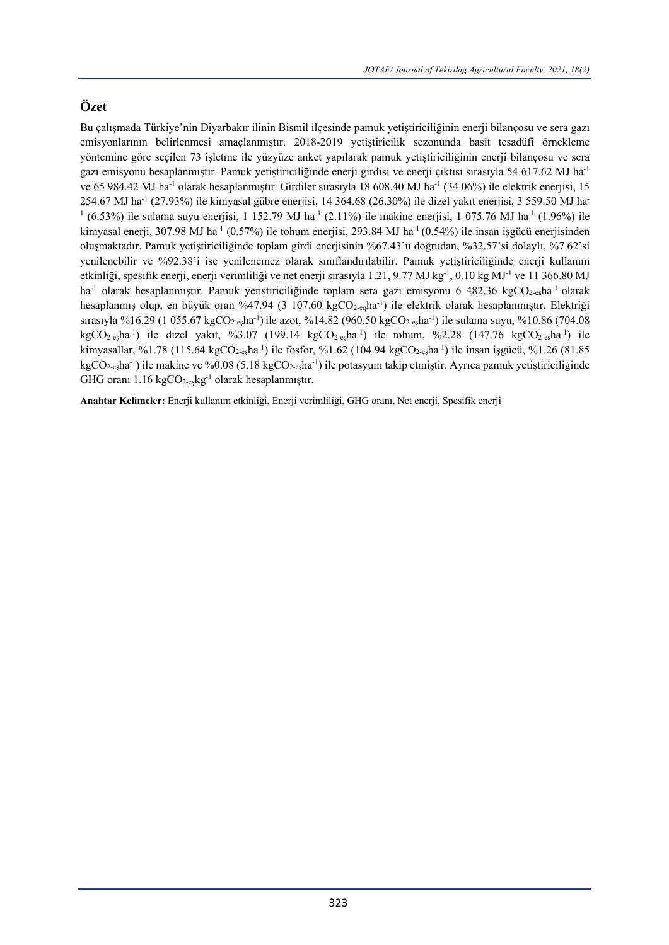# **Özet**

Bu çalışmada Türkiye'nin Diyarbakır ilinin Bismil ilçesinde pamuk yetiştiriciliğinin enerji bilançosu ve sera gazı emisyonlarının belirlenmesi amaçlanmıştır. 2018-2019 yetiştiricilik sezonunda basit tesadüfi örnekleme yöntemine göre seçilen 73 işletme ile yüzyüze anket yapılarak pamuk yetiştiriciliğinin enerji bilançosu ve sera gazı emisyonu hesaplanmıştır. Pamuk yetiştiriciliğinde enerji girdisi ve enerji çıktısı sırasıyla 54 617.62 MJ ha-1 ve 65 984.42 MJ ha<sup>-1</sup> olarak hesaplanmıştır. Girdiler sırasıyla 18 608.40 MJ ha<sup>-1</sup> (34.06%) ile elektrik enerjisi, 15 254.67 MJ ha-1 (27.93%) ile kimyasal gübre enerjisi, 14 364.68 (26.30%) ile dizel yakıt enerjisi, 3 559.50 MJ ha-<sup>1</sup> (6.53%) ile sulama suyu enerjisi, 1 152.79 MJ ha<sup>-1</sup> (2.11%) ile makine enerjisi, 1 075.76 MJ ha<sup>-1</sup> (1.96%) ile kimyasal enerji, 307.98 MJ ha<sup>-1</sup> (0.57%) ile tohum enerjisi, 293.84 MJ ha<sup>-1</sup> (0.54%) ile insan isgücü enerjisinden oluşmaktadır. Pamuk yetiştiriciliğinde toplam girdi enerjisinin %67.43'ü doğrudan, %32.57'si dolaylı, %7.62'si yenilenebilir ve %92.38'i ise yenilenemez olarak sınıflandırılabilir. Pamuk yetiştiriciliğinde enerji kullanım etkinliği, spesifik enerji, enerji verimliliği ve net enerji sırasıyla 1.21, 9.77 MJ kg<sup>-1</sup>, 0.10 kg MJ<sup>-1</sup> ve 11 366.80 MJ ha<sup>-1</sup> olarak hesaplanmıştır. Pamuk yetiştiriciliğinde toplam sera gazı emisyonu 6 482.36 kgCO<sub>2-es</sub>ha<sup>-1</sup> olarak hesaplanmış olup, en büyük oran %47.94 (3 107.60 kgCO<sub>2-eq</sub>ha<sup>-1</sup>) ile elektrik olarak hesaplanmıştır. Elektriği sırasıyla %16.29 (1 055.67 kgCO<sub>2-eş</sub>ha<sup>-1</sup>) ile azot, %14.82 (960.50 kgCO<sub>2-eş</sub>ha<sup>-1</sup>) ile sulama suyu, %10.86 (704.08  $kgCO_{2-}$ eşha<sup>-1</sup>) ile dizel yakıt, %3.07 (199.14 kgCO<sub>2-eş</sub>ha<sup>-1</sup>) ile tohum, %2.28 (147.76 kgCO<sub>2-eş</sub>ha<sup>-1</sup>) ile kimyasallar, %1.78 (115.64 kgCO<sub>2-eş</sub>ha<sup>-1</sup>) ile fosfor, %1.62 (104.94 kgCO<sub>2-eş</sub>ha<sup>-1</sup>) ile insan işgücü, %1.26 (81.85 kgCO<sub>2-eş</sub>ha<sup>-1</sup>) ile makine ve %0.08 (5.18 kgCO<sub>2-eş</sub>ha<sup>-1</sup>) ile potasyum takip etmiştir. Ayrıca pamuk yetiştiriciliğinde GHG oranı 1.16 kgCO<sub>2-eş</sub>kg<sup>-1</sup> olarak hesaplanmıştır.

**Anahtar Kelimeler:** Enerji kullanım etkinliği, Enerji verimliliği, GHG oranı, Net enerji, Spesifik enerji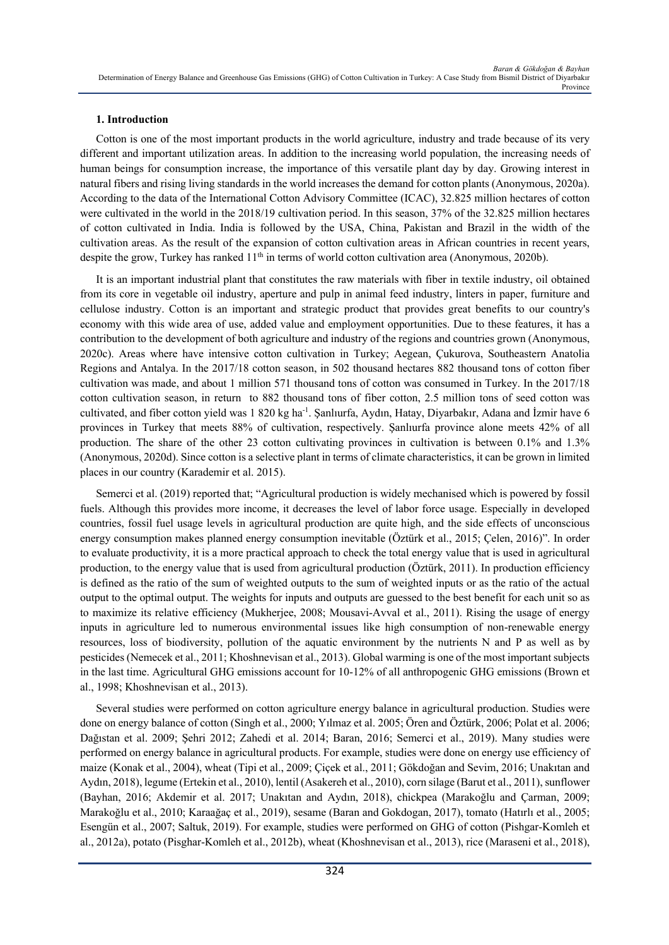# **1. Introduction**

Cotton is one of the most important products in the world agriculture, industry and trade because of its very different and important utilization areas. In addition to the increasing world population, the increasing needs of human beings for consumption increase, the importance of this versatile plant day by day. Growing interest in natural fibers and rising living standards in the world increases the demand for cotton plants (Anonymous, 2020a). According to the data of the International Cotton Advisory Committee (ICAC), 32.825 million hectares of cotton were cultivated in the world in the 2018/19 cultivation period. In this season, 37% of the 32.825 million hectares of cotton cultivated in India. India is followed by the USA, China, Pakistan and Brazil in the width of the cultivation areas. As the result of the expansion of cotton cultivation areas in African countries in recent years, despite the grow, Turkey has ranked 11<sup>th</sup> in terms of world cotton cultivation area (Anonymous, 2020b).

It is an important industrial plant that constitutes the raw materials with fiber in textile industry, oil obtained from its core in vegetable oil industry, aperture and pulp in animal feed industry, linters in paper, furniture and cellulose industry. Cotton is an important and strategic product that provides great benefits to our country's economy with this wide area of use, added value and employment opportunities. Due to these features, it has a contribution to the development of both agriculture and industry of the regions and countries grown (Anonymous, 2020c). Areas where have intensive cotton cultivation in Turkey; Aegean, Çukurova, Southeastern Anatolia Regions and Antalya. In the 2017/18 cotton season, in 502 thousand hectares 882 thousand tons of cotton fiber cultivation was made, and about 1 million 571 thousand tons of cotton was consumed in Turkey. In the 2017/18 cotton cultivation season, in return to 882 thousand tons of fiber cotton, 2.5 million tons of seed cotton was cultivated, and fiber cotton yield was 1 820 kg ha<sup>-1</sup>. Şanlıurfa, Aydın, Hatay, Diyarbakır, Adana and İzmir have 6 provinces in Turkey that meets 88% of cultivation, respectively. Şanlıurfa province alone meets 42% of all production. The share of the other 23 cotton cultivating provinces in cultivation is between 0.1% and 1.3% (Anonymous, 2020d). Since cotton is a selective plant in terms of climate characteristics, it can be grown in limited places in our country (Karademir et al. 2015).

Semerci et al. (2019) reported that; "Agricultural production is widely mechanised which is powered by fossil fuels. Although this provides more income, it decreases the level of labor force usage. Especially in developed countries, fossil fuel usage levels in agricultural production are quite high, and the side effects of unconscious energy consumption makes planned energy consumption inevitable (Öztürk et al., 2015; Çelen, 2016)". In order to evaluate productivity, it is a more practical approach to check the total energy value that is used in agricultural production, to the energy value that is used from agricultural production (Öztürk, 2011). In production efficiency is defined as the ratio of the sum of weighted outputs to the sum of weighted inputs or as the ratio of the actual output to the optimal output. The weights for inputs and outputs are guessed to the best benefit for each unit so as to maximize its relative efficiency (Mukherjee, 2008; Mousavi-Avval et al., 2011). Rising the usage of energy inputs in agriculture led to numerous environmental issues like high consumption of non-renewable energy resources, loss of biodiversity, pollution of the aquatic environment by the nutrients N and P as well as by pesticides (Nemecek et al., 2011; Khoshnevisan et al., 2013). Global warming is one of the most important subjects in the last time. Agricultural GHG emissions account for 10-12% of all anthropogenic GHG emissions (Brown et al., 1998; Khoshnevisan et al., 2013).

Several studies were performed on cotton agriculture energy balance in agricultural production. Studies were done on energy balance of cotton (Singh et al., 2000; Yılmaz et al. 2005; Ören and Öztürk, 2006; Polat et al. 2006; Dağıstan et al. 2009; Şehri 2012; Zahedi et al. 2014; Baran, 2016; Semerci et al., 2019). Many studies were performed on energy balance in agricultural products. For example, studies were done on energy use efficiency of maize (Konak et al., 2004), wheat (Tipi et al., 2009; Çiçek et al., 2011; Gökdoğan and Sevim, 2016; Unakıtan and Aydın, 2018), legume (Ertekin et al., 2010), lentil (Asakereh et al., 2010), corn silage (Barut et al., 2011), sunflower (Bayhan, 2016; Akdemir et al. 2017; Unakıtan and Aydın, 2018), chickpea (Marakoğlu and Çarman, 2009; Marakoğlu et al., 2010; Karaağaç et al., 2019), sesame (Baran and Gokdogan, 2017), tomato (Hatırlı et al., 2005; Esengün et al., 2007; Saltuk, 2019). For example, studies were performed on GHG of cotton (Pishgar-Komleh et al., 2012a), potato (Pisghar-Komleh et al., 2012b), wheat (Khoshnevisan et al., 2013), rice (Maraseni et al., 2018),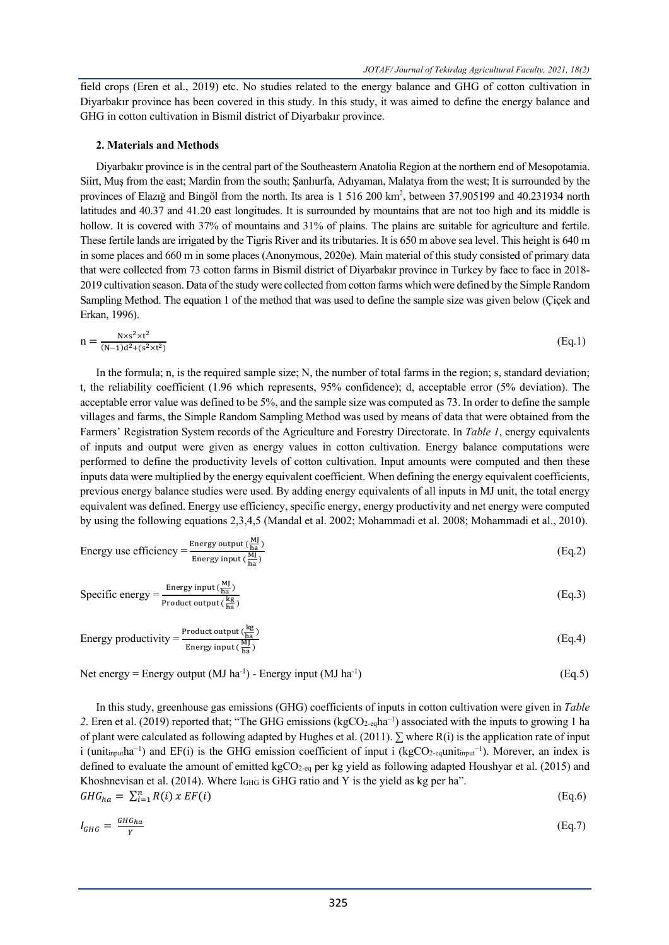field crops (Eren et al., 2019) etc. No studies related to the energy balance and GHG of cotton cultivation in Diyarbakır province has been covered in this study. In this study, it was aimed to define the energy balance and GHG in cotton cultivation in Bismil district of Diyarbakır province.

### **2. Materials and Methods**

Diyarbakır province is in the central part of the Southeastern Anatolia Region at the northern end of Mesopotamia. Siirt, Muş from the east; Mardin from the south; Şanlıurfa, Adıyaman, Malatya from the west; It is surrounded by the provinces of Elazığ and Bingöl from the north. Its area is 1 516 200 km<sup>2</sup>, between 37.905199 and 40.231934 north latitudes and 40.37 and 41.20 east longitudes. It is surrounded by mountains that are not too high and its middle is hollow. It is covered with 37% of mountains and 31% of plains. The plains are suitable for agriculture and fertile. These fertile lands are irrigated by the Tigris River and its tributaries. It is 650 m above sea level. This height is 640 m in some places and 660 m in some places (Anonymous, 2020e). Main material of this study consisted of primary data that were collected from 73 cotton farms in Bismil district of Diyarbakır province in Turkey by face to face in 2018- 2019 cultivation season. Data of the study were collected from cotton farms which were defined by the Simple Random Sampling Method. The equation 1 of the method that was used to define the sample size was given below (Çiçek and Erkan, 1996).

$$
n = \frac{N \times s^2 \times t^2}{(N-1)d^2 + (s^2 \times t^2)} \tag{Eq.1}
$$

In the formula; n, is the required sample size; N, the number of total farms in the region; s, standard deviation; t, the reliability coefficient (1.96 which represents, 95% confidence); d, acceptable error (5% deviation). The acceptable error value was defined to be 5%, and the sample size was computed as 73. In order to define the sample villages and farms, the Simple Random Sampling Method was used by means of data that were obtained from the Farmers' Registration System records of the Agriculture and Forestry Directorate. In *Table 1*, energy equivalents of inputs and output were given as energy values in cotton cultivation. Energy balance computations were performed to define the productivity levels of cotton cultivation. Input amounts were computed and then these inputs data were multiplied by the energy equivalent coefficient. When defining the energy equivalent coefficients, previous energy balance studies were used. By adding energy equivalents of all inputs in MJ unit, the total energy equivalent was defined. Energy use efficiency, specific energy, energy productivity and net energy were computed by using the following equations 2,3,4,5 (Mandal et al. 2002; Mohammadi et al. 2008; Mohammadi et al., 2010).

Energy use efficiency = 
$$
\frac{\text{Energy output} (\frac{MJ}{ha})}{\text{Energy input} (\frac{M}{ha})}
$$
 (Eq.2)

Specific energy = 
$$
\frac{\text{Energy input}(\frac{MJ}{ha})}{\text{Product output}(\frac{kg}{ha})}
$$
 (Eq.3)

Energy productivity = 
$$
\frac{\text{Product output }(\frac{\text{kg}}{\text{ha}})}{\text{Energy input }(\frac{\text{MJ}}{\text{ha}})}
$$
(Eq.4)

Net energy = Energy output  $(MJ ha^{-1})$  - Energy input  $(MJ ha^{-1})$ ) (Eq.5)

In this study, greenhouse gas emissions (GHG) coefficients of inputs in cotton cultivation were given in *Table*  2. Eren et al. (2019) reported that; "The GHG emissions (kgCO<sub>2-eq</sub>ha<sup>-1</sup>) associated with the inputs to growing 1 ha of plant were calculated as following adapted by Hughes et al. (2011).  $\Sigma$  where R(i) is the application rate of input i (unit<sub>input</sub>ha<sup>-1</sup>) and EF(i) is the GHG emission coefficient of input i (kgCO<sub>2-eq</sub>unit<sub>input</sub><sup>-1</sup>). Morever, an index is defined to evaluate the amount of emitted kgCO<sub>2-eq</sub> per kg yield as following adapted Houshyar et al. (2015) and Khoshnevisan et al. (2014). Where  $I<sub>GHG</sub>$  is GHG ratio and Y is the yield as kg per ha".

$$
GHG_{ha} = \sum_{i=1}^{n} R(i) \times EF(i)
$$
 (Eq.6)

$$
I_{GHG} = \frac{GHG_{ha}}{Y}
$$
 (Eq.7)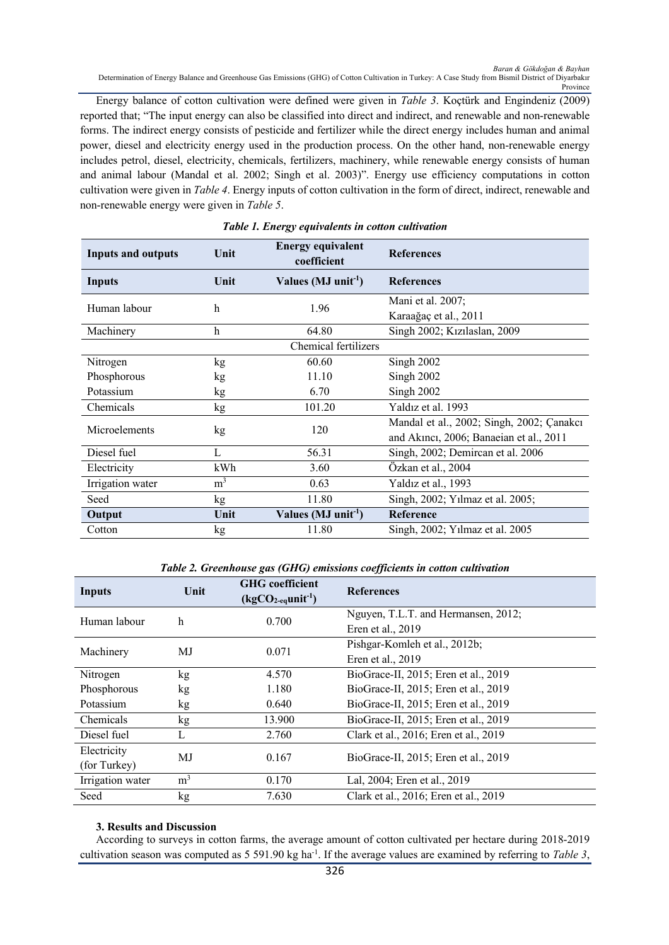Energy balance of cotton cultivation were defined were given in *Table 3*. Koçtürk and Engindeniz (2009) reported that; "The input energy can also be classified into direct and indirect, and renewable and non-renewable forms. The indirect energy consists of pesticide and fertilizer while the direct energy includes human and animal power, diesel and electricity energy used in the production process. On the other hand, non-renewable energy includes petrol, diesel, electricity, chemicals, fertilizers, machinery, while renewable energy consists of human and animal labour (Mandal et al. 2002; Singh et al. 2003)". Energy use efficiency computations in cotton cultivation were given in *Table 4*. Energy inputs of cotton cultivation in the form of direct, indirect, renewable and non-renewable energy were given in *Table 5*.

| <b>Inputs and outputs</b> | Unit           | <b>Energy equivalent</b><br>coefficient | <b>References</b>                         |
|---------------------------|----------------|-----------------------------------------|-------------------------------------------|
| <b>Inputs</b>             | Unit           | Values ( $MJ$ unit <sup>-1</sup> )      | <b>References</b>                         |
| Human labour              | h              | 1.96                                    | Mani et al. 2007;                         |
|                           |                |                                         | Karaağaç et al., 2011                     |
| Machinery                 | h              | 64.80                                   | Singh 2002; Kızılaslan, 2009              |
|                           |                | Chemical fertilizers                    |                                           |
| Nitrogen                  | kg             | 60.60                                   | Singh 2002                                |
| Phosphorous               | kg             | 11.10                                   | Singh 2002                                |
| Potassium                 | kg             | 6.70                                    | Singh 2002                                |
| Chemicals                 | kg             | 101.20                                  | Yaldız et al. 1993                        |
| Microelements             | kg             | 120                                     | Mandal et al., 2002; Singh, 2002; Çanakcı |
|                           |                |                                         | and Akinci, 2006; Banaeian et al., 2011   |
| Diesel fuel               | L              | 56.31                                   | Singh, 2002; Demircan et al. 2006         |
| Electricity               | kWh            | 3.60                                    | Özkan et al., 2004                        |
| Irrigation water          | m <sup>3</sup> | 0.63                                    | Yaldız et al., 1993                       |
| Seed                      | kg             | 11.80                                   | Singh, 2002; Yılmaz et al. 2005;          |
| Output                    | Unit           | Values (MJ unit <sup>-1</sup> )         | Reference                                 |
| Cotton                    | kg             | 11.80                                   | Singh, 2002; Yilmaz et al. 2005           |

#### *Table 1. Energy equivalents in cotton cultivation*

*Table 2. Greenhouse gas (GHG) emissions coefficients in cotton cultivation*

| <b>Inputs</b>    | Unit           | <b>GHG</b> coefficient<br>$(kgCO2-equnit-1)$ | <b>References</b>                     |  |
|------------------|----------------|----------------------------------------------|---------------------------------------|--|
| Human labour     | h              | 0.700                                        | Nguyen, T.L.T. and Hermansen, 2012;   |  |
|                  |                |                                              | Eren et al., 2019                     |  |
| Machinery        | MJ             | 0.071                                        | Pishgar-Komleh et al., 2012b;         |  |
|                  |                |                                              | Eren et al., 2019                     |  |
| Nitrogen         | kg.            | 4.570                                        | BioGrace-II, 2015; Eren et al., 2019  |  |
| Phosphorous      | kg             | 1.180                                        | BioGrace-II, 2015; Eren et al., 2019  |  |
| Potassium        | kg             | 0.640                                        | BioGrace-II, 2015; Eren et al., 2019  |  |
| Chemicals        | kg             | 13.900                                       | BioGrace-II, 2015; Eren et al., 2019  |  |
| Diesel fuel      | L              | 2.760                                        | Clark et al., 2016; Eren et al., 2019 |  |
| Electricity      |                | 0.167                                        |                                       |  |
| (for Turkey)     | MJ             |                                              | BioGrace-II, 2015; Eren et al., 2019  |  |
| Irrigation water | m <sup>3</sup> | 0.170                                        | Lal, 2004; Eren et al., 2019          |  |
| Seed             | kg.            | 7.630                                        | Clark et al., 2016; Eren et al., 2019 |  |

## **3. Results and Discussion**

According to surveys in cotton farms, the average amount of cotton cultivated per hectare during 2018-2019 cultivation season was computed as 5 591.90 kg ha<sup>-1</sup>. If the average values are examined by referring to *Table 3*,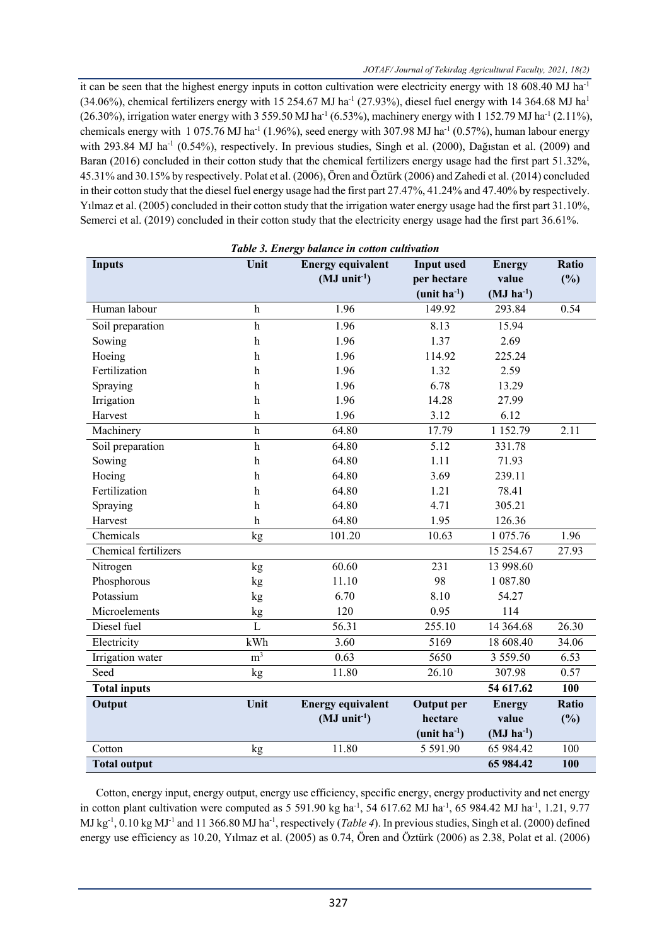it can be seen that the highest energy inputs in cotton cultivation were electricity energy with 18 608.40 MJ ha<sup>-1</sup> (34.06%), chemical fertilizers energy with 15 254.67 MJ ha<sup>-1</sup> (27.93%), diesel fuel energy with 14 364.68 MJ ha<sup>1</sup> (26.30%), irrigation water energy with 3 559.50 MJ ha<sup>-1</sup> (6.53%), machinery energy with 1 152.79 MJ ha<sup>-1</sup> (2.11%), chemicals energy with 1 075.76 MJ ha<sup>-1</sup> (1.96%), seed energy with 307.98 MJ ha<sup>-1</sup> (0.57%), human labour energy with 293.84 MJ ha<sup>-1</sup> (0.54%), respectively. In previous studies, Singh et al. (2000), Dağıstan et al. (2009) and Baran (2016) concluded in their cotton study that the chemical fertilizers energy usage had the first part 51.32%, 45.31% and 30.15% by respectively. Polat et al. (2006), Ören and Öztürk (2006) and Zahedi et al. (2014) concluded in their cotton study that the diesel fuel energy usage had the first part 27.47%, 41.24% and 47.40% by respectively. Yılmaz et al. (2005) concluded in their cotton study that the irrigation water energy usage had the first part 31.10%, Semerci et al. (2019) concluded in their cotton study that the electricity energy usage had the first part 36.61%.

| Table 3. Energy balance in cotton cultivation |                           |                          |                   |                           |              |  |
|-----------------------------------------------|---------------------------|--------------------------|-------------------|---------------------------|--------------|--|
| <b>Inputs</b>                                 | Unit                      | <b>Energy equivalent</b> | <b>Input used</b> | <b>Energy</b>             | <b>Ratio</b> |  |
|                                               |                           | $(MJ \text{ unit}^{-1})$ | per hectare       | value                     | (%)          |  |
|                                               |                           |                          | $(unit ha-1)$     | $(MJ ha^{-1})$            |              |  |
| Human labour                                  | $\mathbf h$               | 1.96                     | 149.92            | 293.84                    | 0.54         |  |
| Soil preparation                              | $\,$ h                    | 1.96                     | 8.13              | 15.94                     |              |  |
| Sowing                                        | $\mathbf h$               | 1.96                     | 1.37              | 2.69                      |              |  |
| Hoeing                                        | $\mathbf h$               | 1.96                     | 114.92            | 225.24                    |              |  |
| Fertilization                                 | $\mathbf h$               | 1.96                     | 1.32              | 2.59                      |              |  |
| Spraying                                      | $\mathbf h$               | 1.96                     | 6.78              | 13.29                     |              |  |
| Irrigation                                    | $\mathbf h$               | 1.96                     | 14.28             | 27.99                     |              |  |
| Harvest                                       | $\mathbf h$               | 1.96                     | 3.12              | 6.12                      |              |  |
| Machinery                                     | $\overline{h}$            | 64.80                    | 17.79             | 1 1 5 2 . 7 9             | 2.11         |  |
| Soil preparation                              | $\mathbf{h}$              | 64.80                    | 5.12              | 331.78                    |              |  |
| Sowing                                        | $\boldsymbol{\mathrm{h}}$ | 64.80                    | 1.11              | 71.93                     |              |  |
| Hoeing                                        | $\mathbf h$               | 64.80                    | 3.69              | 239.11                    |              |  |
| Fertilization                                 | $\,$ h                    | 64.80                    | 1.21              | 78.41                     |              |  |
| Spraying                                      | $\mathbf h$               | 64.80                    | 4.71              | 305.21                    |              |  |
| Harvest                                       | $\mathbf h$               | 64.80                    | 1.95              | 126.36                    |              |  |
| Chemicals                                     | kg                        | 101.20                   | 10.63             | 1 075.76                  | 1.96         |  |
| Chemical fertilizers                          |                           |                          |                   | 15 254.67                 | 27.93        |  |
| Nitrogen                                      | $\mathrm{kg}$             | 60.60                    | 231               | 13 998.60                 |              |  |
| Phosphorous                                   | kg                        | 11.10                    | 98                | 1 087.80                  |              |  |
| Potassium                                     | kg                        | 6.70                     | 8.10              | 54.27                     |              |  |
| Microelements                                 | kg                        | 120                      | 0.95              | 114                       |              |  |
| Diesel fuel                                   | L                         | 56.31                    | 255.10            | 14 3 64 .68               | 26.30        |  |
| Electricity                                   | kWh                       | 3.60                     | 5169              | 18 608.40                 | 34.06        |  |
| Irrigation water                              | m <sup>3</sup>            | 0.63                     | 5650              | 3 5 5 9 . 5 0             | 6.53         |  |
| Seed                                          | kg                        | 11.80                    | 26.10             | 307.98                    | 0.57         |  |
| <b>Total inputs</b>                           |                           |                          |                   | 54 617.62                 | 100          |  |
| Output                                        | Unit                      | <b>Energy equivalent</b> | <b>Output</b> per | <b>Energy</b>             | Ratio        |  |
|                                               |                           | $(MJ \text{ unit}^{-1})$ | hectare           | value                     | (%)          |  |
|                                               |                           |                          | $(unit ha-1)$     | $(MJ)$ ha <sup>-1</sup> ) |              |  |
| Cotton                                        | kg                        | 11.80                    | 5 5 9 1.90        | 65 984.42                 | 100          |  |
| <b>Total output</b>                           |                           |                          |                   | 65 984.42                 | 100          |  |

Cotton, energy input, energy output, energy use efficiency, specific energy, energy productivity and net energy in cotton plant cultivation were computed as  $5\,591.90$  kg ha<sup>-1</sup>, 54 617.62 MJ ha<sup>-1</sup>, 65 984.42 MJ ha<sup>-1</sup>, 1.21, 9.77 MJ kg<sup>-1</sup>, 0.10 kg MJ<sup>-1</sup> and 11 366.80 MJ ha<sup>-1</sup>, respectively (*Table 4*). In previous studies, Singh et al. (2000) defined energy use efficiency as 10.20, Yılmaz et al. (2005) as 0.74, Ören and Öztürk (2006) as 2.38, Polat et al. (2006)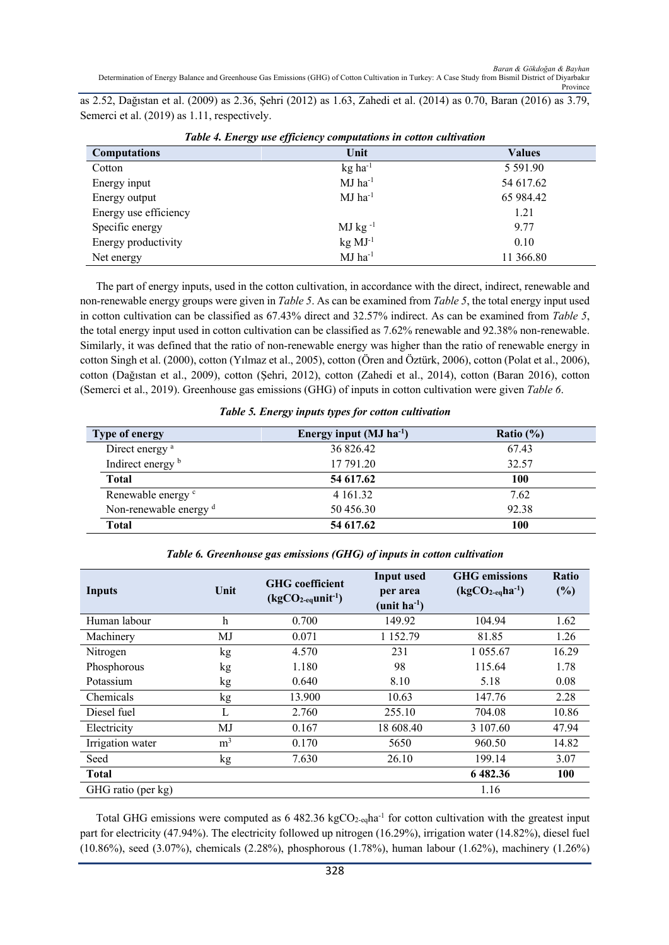as 2.52, Dağıstan et al. (2009) as 2.36, Şehri (2012) as 1.63, Zahedi et al. (2014) as 0.70, Baran (2016) as 3.79, Semerci et al. (2019) as 1.11, respectively.

| <b>Computations</b>   | Unit                  | <b>Values</b> |  |  |
|-----------------------|-----------------------|---------------|--|--|
| Cotton                | $kg$ ha <sup>-1</sup> | 5 5 9 1 . 9 0 |  |  |
| Energy input          | $MJ$ ha <sup>-1</sup> | 54 617.62     |  |  |
| Energy output         | $MJ$ ha <sup>-1</sup> | 65 984.42     |  |  |
| Energy use efficiency |                       | 1.21          |  |  |
| Specific energy       | $MJ$ kg $^{-1}$       | 9.77          |  |  |
| Energy productivity   | $kg \, MJ^{-1}$       | 0.10          |  |  |
| Net energy            | $MJ$ ha <sup>-1</sup> | 11 366.80     |  |  |

|  | Table 4. Energy use efficiency computations in cotton cultivation |  |
|--|-------------------------------------------------------------------|--|
|  |                                                                   |  |

The part of energy inputs, used in the cotton cultivation, in accordance with the direct, indirect, renewable and non-renewable energy groups were given in *Table 5*. As can be examined from *Table 5*, the total energy input used in cotton cultivation can be classified as 67.43% direct and 32.57% indirect. As can be examined from *Table 5*, the total energy input used in cotton cultivation can be classified as 7.62% renewable and 92.38% non-renewable. Similarly, it was defined that the ratio of non-renewable energy was higher than the ratio of renewable energy in cotton Singh et al. (2000), cotton (Yılmaz et al., 2005), cotton (Ören and Öztürk, 2006), cotton (Polat et al., 2006), cotton (Dağıstan et al., 2009), cotton (Şehri, 2012), cotton (Zahedi et al., 2014), cotton (Baran 2016), cotton (Semerci et al., 2019). Greenhouse gas emissions (GHG) of inputs in cotton cultivation were given *Table 6*.

| <b>Type of energy</b>             | Energy input $(MJ ha-1)$ | Ratio $(\% )$ |
|-----------------------------------|--------------------------|---------------|
| Direct energy <sup>a</sup>        | 36 826.42                | 67.43         |
| Indirect energy b                 | 17 791.20                | 32.57         |
| <b>Total</b>                      | 54 617.62                | 100           |
| Renewable energy c                | 4 1 6 1 .3 2             | 7.62          |
| Non-renewable energy <sup>d</sup> | 50 456.30                | 92.38         |
| <b>Total</b>                      | 54 617.62                | 100           |

| <b>Inputs</b>      | Unit           | <b>GHG</b> coefficient<br>$(kgCO2-equnit-1)$ | Input used<br>per area<br>$(unit ha-1)$ | <b>GHG</b> emissions<br>$(kgCO2-eqha-1)$ | <b>Ratio</b><br>(%) |
|--------------------|----------------|----------------------------------------------|-----------------------------------------|------------------------------------------|---------------------|
| Human labour       | h              | 0.700                                        | 149.92                                  | 104.94                                   | 1.62                |
| Machinery          | MJ             | 0.071                                        | 1 1 5 2 . 7 9                           | 81.85                                    | 1.26                |
| Nitrogen           | kg             | 4.570                                        | 231                                     | 1 0 5 5 . 6 7                            | 16.29               |
| Phosphorous        | kg             | 1.180                                        | 98                                      | 115.64                                   | 1.78                |
| Potassium          | kg             | 0.640                                        | 8.10                                    | 5.18                                     | 0.08                |
| Chemicals          | kg             | 13.900                                       | 10.63                                   | 147.76                                   | 2.28                |
| Diesel fuel        | L              | 2.760                                        | 255.10                                  | 704.08                                   | 10.86               |
| Electricity        | MJ             | 0.167                                        | 18 608.40                               | 3 107.60                                 | 47.94               |
| Irrigation water   | m <sup>3</sup> | 0.170                                        | 5650                                    | 960.50                                   | 14.82               |
| Seed               | kg             | 7.630                                        | 26.10                                   | 199.14                                   | 3.07                |
| <b>Total</b>       |                |                                              |                                         | 6482.36                                  | 100                 |
| GHG ratio (per kg) |                |                                              |                                         | 1.16                                     |                     |

*Table 6. Greenhouse gas emissions (GHG) of inputs in cotton cultivation*

Total GHG emissions were computed as  $6.482.36 \text{ kgCO}_{2\text{-cal}}$  for cotton cultivation with the greatest input part for electricity (47.94%). The electricity followed up nitrogen (16.29%), irrigation water (14.82%), diesel fuel (10.86%), seed (3.07%), chemicals (2.28%), phosphorous (1.78%), human labour (1.62%), machinery (1.26%)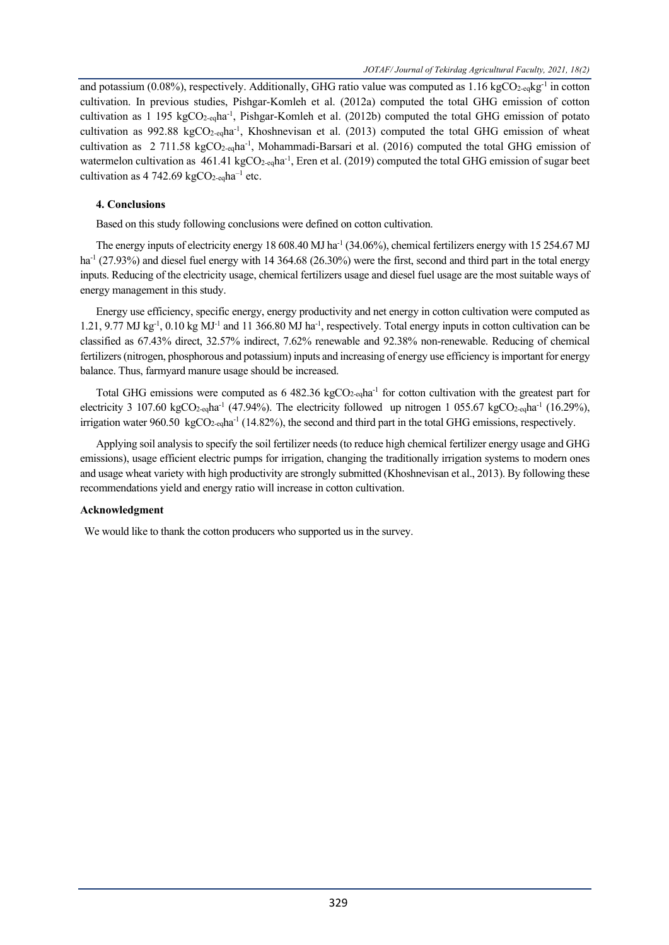and potassium (0.08%), respectively. Additionally, GHG ratio value was computed as 1.16 kgCO<sub>2-eq</sub>kg<sup>-1</sup> in cotton cultivation. In previous studies, Pishgar-Komleh et al. (2012a) computed the total GHG emission of cotton cultivation as 1 195 kgCO<sub>2-eq</sub>ha<sup>-1</sup>, Pishgar-Komleh et al. (2012b) computed the total GHG emission of potato cultivation as 992.88 kgCO<sub>2-eq</sub>ha<sup>-1</sup>, Khoshnevisan et al. (2013) computed the total GHG emission of wheat cultivation as 2 711.58 kgCO<sub>2-eq</sub>ha<sup>-1</sup>, Mohammadi-Barsari et al. (2016) computed the total GHG emission of watermelon cultivation as  $461.41 \text{ kgCO}_{2\text{-eq}}$ ha<sup>-1</sup>, Eren et al. (2019) computed the total GHG emission of sugar beet cultivation as  $4742.69 \text{ kgCO}_{2\text{-eq}}$ ha<sup>-1</sup> etc.

# **4. Conclusions**

Based on this study following conclusions were defined on cotton cultivation.

The energy inputs of electricity energy 18 608.40 MJ ha<sup>-1</sup> (34.06%), chemical fertilizers energy with 15 254.67 MJ ha<sup>-1</sup> (27.93%) and diesel fuel energy with 14 364.68 (26.30%) were the first, second and third part in the total energy inputs. Reducing of the electricity usage, chemical fertilizers usage and diesel fuel usage are the most suitable ways of energy management in this study.

Energy use efficiency, specific energy, energy productivity and net energy in cotton cultivation were computed as 1.21, 9.77 MJ kg<sup>-1</sup>, 0.10 kg MJ<sup>-1</sup> and 11 366.80 MJ ha<sup>-1</sup>, respectively. Total energy inputs in cotton cultivation can be classified as 67.43% direct, 32.57% indirect, 7.62% renewable and 92.38% non-renewable. Reducing of chemical fertilizers (nitrogen, phosphorous and potassium) inputs and increasing of energy use efficiency is important for energy balance. Thus, farmyard manure usage should be increased.

Total GHG emissions were computed as 6 482.36 kgCO<sub>2-eq</sub>ha<sup>-1</sup> for cotton cultivation with the greatest part for electricity 3 107.60 kgCO<sub>2-eq</sub>ha<sup>-1</sup> (47.94%). The electricity followed up nitrogen 1 055.67 kgCO<sub>2-eq</sub>ha<sup>-1</sup> (16.29%), irrigation water 960.50 kgCO<sub>2-eq</sub>ha<sup>-1</sup> (14.82%), the second and third part in the total GHG emissions, respectively.

Applying soil analysis to specify the soil fertilizer needs (to reduce high chemical fertilizer energy usage and GHG emissions), usage efficient electric pumps for irrigation, changing the traditionally irrigation systems to modern ones and usage wheat variety with high productivity are strongly submitted (Khoshnevisan et al., 2013). By following these recommendations yield and energy ratio will increase in cotton cultivation.

# **Acknowledgment**

We would like to thank the cotton producers who supported us in the survey.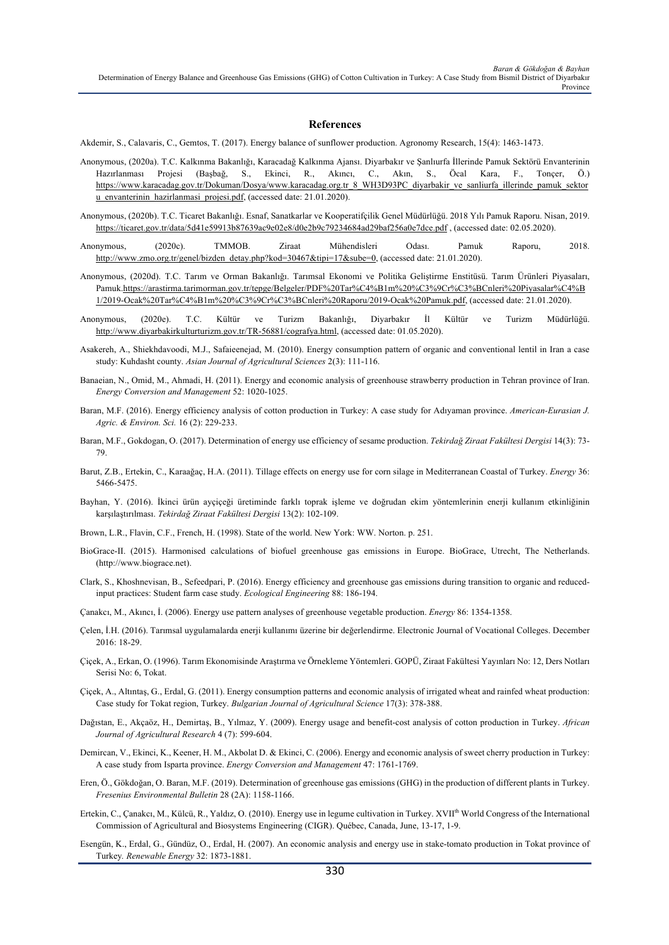#### **References**

Akdemir, S., Calavaris, C., Gemtos, T. (2017). Energy balance of sunflower production. Agronomy Research, 15(4): 1463-1473.

- Anonymous, (2020a). T.C. Kalkınma Bakanlığı, Karacadağ Kalkınma Ajansı. Diyarbakır ve Şanlıurfa İllerinde Pamuk Sektörü Envanterinin Hazırlanması Projesi (Başbağ, S., Ekinci, R., Akıncı, C., Akın, S., Öcal Kara, F., Tonçer, Ö.) https://www.karacadag.gov.tr/Dokuman/Dosya/www.karacadag.org.tr\_8\_WH3D93PC\_diyarbakir\_ve\_sanliurfa\_illerinde\_pamuk\_sektor u\_envanterinin\_hazirlanmasi\_projesi.pdf, (accessed date: 21.01.2020).
- Anonymous, (2020b). T.C. Ticaret Bakanlığı. Esnaf, Sanatkarlar ve Kooperatifçilik Genel Müdürlüğü. 2018 Yılı Pamuk Raporu. Nisan, 2019. https://ticaret.gov.tr/data/5d41e59913b87639ac9e02e8/d0e2b9c79234684ad29baf256a0e7dce.pdf , (accessed date: 02.05.2020).
- Anonymous, (2020c). TMMOB. Ziraat Mühendisleri Odası. Pamuk Raporu, 2018. http://www.zmo.org.tr/genel/bizden\_detay.php?kod=30467&tipi=17&sube=0, (accessed date: 21.01.2020).

Anonymous, (2020d). T.C. Tarım ve Orman Bakanlığı. Tarımsal Ekonomi ve Politika Geliştirme Enstitüsü. Tarım Ürünleri Piyasaları, Pamuk.https://arastirma.tarimorman.gov.tr/tepge/Belgeler/PDF%20Tar%C4%B1m%20%C3%9Cr%C3%BCnleri%20Piyasalar%C4%B 1/2019-Ocak%20Tar%C4%B1m%20%C3%9Cr%C3%BCnleri%20Raporu/2019-Ocak%20Pamuk.pdf, (accessed date: 21.01.2020).

- Anonymous, (2020e). T.C. Kültür ve Turizm Bakanlığı, Diyarbakır İl Kültür ve Turizm Müdürlüğü. http://www.diyarbakirkulturturizm.gov.tr/TR-56881/cografya.html, (accessed date: 01.05.2020).
- Asakereh, A., Shiekhdavoodi, M.J., Safaieenejad, M. (2010). Energy consumption pattern of organic and conventional lentil in Iran a case study: Kuhdasht county. *Asian Journal of Agricultural Sciences* 2(3): 111-116.
- Banaeian, N., Omid, M., Ahmadi, H. (2011). Energy and economic analysis of greenhouse strawberry production in Tehran province of Iran. *Energy Conversion and Management* 52: 1020-1025.
- Baran, M.F. (2016). Energy efficiency analysis of cotton production in Turkey: A case study for Adıyaman province. *American-Eurasian J. Agric. & Environ. Sci.* 16 (2): 229-233.
- Baran, M.F., Gokdogan, O. (2017). Determination of energy use efficiency of sesame production. *Tekirdağ Ziraat Fakültesi Dergisi* 14(3): 73- 79.
- Barut, Z.B., Ertekin, C., Karaağaç, H.A. (2011). Tillage effects on energy use for corn silage in Mediterranean Coastal of Turkey. *Energy* 36: 5466-5475.
- Bayhan, Y. (2016). İkinci ürün ayçiçeği üretiminde farklı toprak işleme ve doğrudan ekim yöntemlerinin enerji kullanım etkinliğinin karşılaştırılması. *Tekirdağ Ziraat Fakültesi Dergisi* 13(2): 102-109.
- Brown, L.R., Flavin, C.F., French, H. (1998). State of the world. New York: WW. Norton. p. 251.
- BioGrace-II. (2015). Harmonised calculations of biofuel greenhouse gas emissions in Europe. BioGrace, Utrecht, The Netherlands. (http://www.biograce.net).
- Clark, S., Khoshnevisan, B., Sefeedpari, P. (2016). Energy efficiency and greenhouse gas emissions during transition to organic and reducedinput practices: Student farm case study. *Ecological Engineering* 88: 186-194.
- Çanakcı, M., Akıncı, İ. (2006). Energy use pattern analyses of greenhouse vegetable production. *Energy* 86: 1354-1358.
- Çelen, İ.H. (2016). Tarımsal uygulamalarda enerji kullanımı üzerine bir değerlendirme. Electronic Journal of Vocational Colleges. December 2016: 18-29.
- Çiçek, A., Erkan, O. (1996). Tarım Ekonomisinde Araştırma ve Örnekleme Yöntemleri. GOPÜ, Ziraat Fakültesi Yayınları No: 12, Ders Notları Serisi No: 6, Tokat.
- Çiçek, A., Altıntaş, G., Erdal, G. (2011). Energy consumption patterns and economic analysis of irrigated wheat and rainfed wheat production: Case study for Tokat region, Turkey. *Bulgarian Journal of Agricultural Science* 17(3): 378-388.
- Dağıstan, E., Akçaöz, H., Demirtaş, B., Yılmaz, Y. (2009). Energy usage and benefit-cost analysis of cotton production in Turkey. *African Journal of Agricultural Research* 4 (7): 599-604.
- Demircan, V., Ekinci, K., Keener, H. M., Akbolat D. & Ekinci, C. (2006). Energy and economic analysis of sweet cherry production in Turkey: A case study from Isparta province. *Energy Conversion and Management* 47: 1761-1769.
- Eren, Ö., Gökdoğan, O. Baran, M.F. (2019). Determination of greenhouse gas emissions (GHG) in the production of different plants in Turkey. *Fresenius Environmental Bulletin* 28 (2A): 1158-1166.
- Ertekin, C., Çanakcı, M., Külcü, R., Yaldız, O. (2010). Energy use in legume cultivation in Turkey. XVIIth World Congress of the International Commission of Agricultural and Biosystems Engineering (CIGR). Québec, Canada, June, 13-17, 1-9.
- Esengün, K., Erdal, G., Gündüz, O., Erdal, H. (2007). An economic analysis and energy use in stake-tomato production in Tokat province of Turkey*. Renewable Energy* 32: 1873-1881.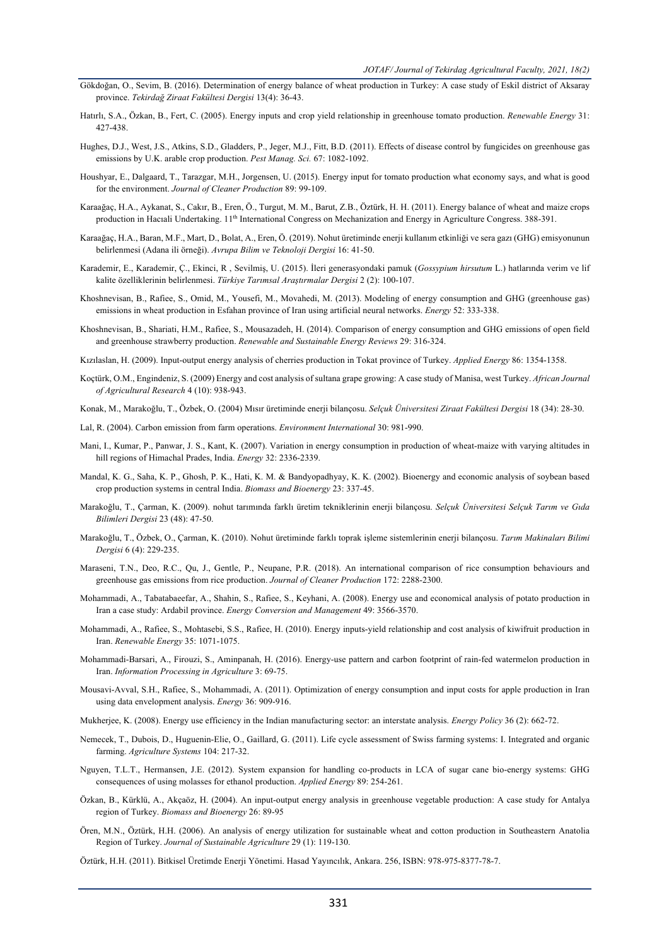- Gökdoğan, O., Sevim, B. (2016). Determination of energy balance of wheat production in Turkey: A case study of Eskil district of Aksaray province. *Tekirdağ Ziraat Fakültesi Dergisi* 13(4): 36-43.
- Hatırlı, S.A., Özkan, B., Fert, C. (2005). Energy inputs and crop yield relationship in greenhouse tomato production. *Renewable Energy* 31: 427-438.
- Hughes, D.J., West, J.S., Atkins, S.D., Gladders, P., Jeger, M.J., Fitt, B.D. (2011). Effects of disease control by fungicides on greenhouse gas emissions by U.K. arable crop production. *Pest Manag. Sci.* 67: 1082-1092.
- Houshyar, E., Dalgaard, T., Tarazgar, M.H., Jorgensen, U. (2015). Energy input for tomato production what economy says, and what is good for the environment. *Journal of Cleaner Production* 89: 99-109.
- Karaağaç, H.A., Aykanat, S., Cakır, B., Eren, Ö., Turgut, M. M., Barut, Z.B., Öztürk, H. H. (2011). Energy balance of wheat and maize crops production in Hacıali Undertaking. 11<sup>th</sup> International Congress on Mechanization and Energy in Agriculture Congress. 388-391.
- Karaağaç, H.A., Baran, M.F., Mart, D., Bolat, A., Eren, Ö. (2019). Nohut üretiminde enerji kullanım etkinliği ve sera gazı (GHG) emisyonunun belirlenmesi (Adana ili örneği). *Avrupa Bilim ve Teknoloji Dergisi* 16: 41-50.
- Karademir, E., Karademir, Ç., Ekinci, R , Sevilmiş, U. (2015). İleri generasyondaki pamuk (*Gossypium hirsutum* L.) hatlarında verim ve lif kalite özelliklerinin belirlenmesi. *Türkiye Tarımsal Araştırmalar Dergisi* 2 (2): 100-107.
- Khoshnevisan, B., Rafiee, S., Omid, M., Yousefi, M., Movahedi, M. (2013). Modeling of energy consumption and GHG (greenhouse gas) emissions in wheat production in Esfahan province of Iran using artificial neural networks. *Energy* 52: 333-338.
- Khoshnevisan, B., Shariati, H.M., Rafiee, S., Mousazadeh, H. (2014). Comparison of energy consumption and GHG emissions of open field and greenhouse strawberry production. *Renewable and Sustainable Energy Reviews* 29: 316-324.

Kızılaslan, H. (2009). Input-output energy analysis of cherries production in Tokat province of Turkey. *Applied Energy* 86: 1354-1358.

- Koçtürk, O.M., Engindeniz, S. (2009) Energy and cost analysis of sultana grape growing: A case study of Manisa, west Turkey. *African Journal of Agricultural Research* 4 (10): 938-943.
- Konak, M., Marakoğlu, T., Özbek, O. (2004) Mısır üretiminde enerji bilançosu. *Selçuk Üniversitesi Ziraat Fakültesi Dergisi* 18 (34): 28-30.
- Lal, R. (2004). Carbon emission from farm operations. *Environment International* 30: 981-990.
- Mani, I., Kumar, P., Panwar, J. S., Kant, K. (2007). Variation in energy consumption in production of wheat-maize with varying altitudes in hill regions of Himachal Prades, India. *Energy* 32: 2336-2339.
- Mandal, K. G., Saha, K. P., Ghosh, P. K., Hati, K. M. & Bandyopadhyay, K. K. (2002). Bioenergy and economic analysis of soybean based crop production systems in central India. *Biomass and Bioenergy* 23: 337-45.
- Marakoğlu, T., Çarman, K. (2009). nohut tarımında farklı üretim tekniklerinin enerji bilançosu. *Selçuk Üniversitesi Selçuk Tarım ve Gıda Bilimleri Dergisi* 23 (48): 47-50.
- Marakoğlu, T., Özbek, O., Çarman, K. (2010). Nohut üretiminde farklı toprak işleme sistemlerinin enerji bilançosu. *Tarım Makinaları Bilimi Dergisi* 6 (4): 229-235.
- Maraseni, T.N., Deo, R.C., Qu, J., Gentle, P., Neupane, P.R. (2018). An international comparison of rice consumption behaviours and greenhouse gas emissions from rice production. *Journal of Cleaner Production* 172: 2288-2300.
- Mohammadi, A., Tabatabaeefar, A., Shahin, S., Rafiee, S., Keyhani, A. (2008). Energy use and economical analysis of potato production in Iran a case study: Ardabil province. *Energy Conversion and Management* 49: 3566-3570.
- Mohammadi, A., Rafiee, S., Mohtasebi, S.S., Rafiee, H. (2010). Energy inputs-yield relationship and cost analysis of kiwifruit production in Iran. *Renewable Energy* 35: 1071-1075.
- Mohammadi-Barsari, A., Firouzi, S., Aminpanah, H. (2016). Energy-use pattern and carbon footprint of rain-fed watermelon production in Iran. *Information Processing in Agriculture* 3: 69-75.
- Mousavi-Avval, S.H., Rafiee, S., Mohammadi, A. (2011). Optimization of energy consumption and input costs for apple production in Iran using data envelopment analysis. *Energy* 36: 909-916.
- Mukherjee, K. (2008). Energy use efficiency in the Indian manufacturing sector: an interstate analysis. *Energy Policy* 36 (2): 662-72.
- Nemecek, T., Dubois, D., Huguenin-Elie, O., Gaillard, G. (2011). Life cycle assessment of Swiss farming systems: I. Integrated and organic farming. *Agriculture Systems* 104: 217-32.
- Nguyen, T.L.T., Hermansen, J.E. (2012). System expansion for handling co-products in LCA of sugar cane bio-energy systems: GHG consequences of using molasses for ethanol production. *Applied Energy* 89: 254-261.
- Özkan, B., Kürklü, A., Akçaöz, H. (2004). An input-output energy analysis in greenhouse vegetable production: A case study for Antalya region of Turkey. *Biomass and Bioenergy* 26: 89-95
- Ören, M.N., Öztürk, H.H. (2006). An analysis of energy utilization for sustainable wheat and cotton production in Southeastern Anatolia Region of Turkey. *Journal of Sustainable Agriculture* 29 (1): 119-130.

Öztürk, H.H. (2011). Bitkisel Üretimde Enerji Yönetimi. Hasad Yayıncılık, Ankara. 256, ISBN: 978-975-8377-78-7.